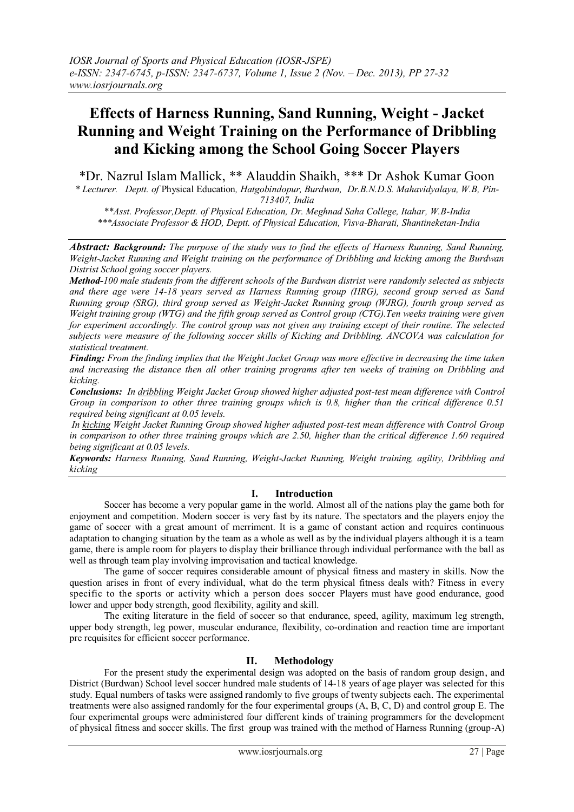# **Effects of Harness Running, Sand Running, Weight - Jacket Running and Weight Training on the Performance of Dribbling and Kicking among the School Going Soccer Players**

\*Dr. Nazrul Islam Mallick, \*\* Alauddin Shaikh, \*\*\* Dr Ashok Kumar Goon *\* Lecturer. Deptt. of* Physical Education*, Hatgobindopur, Burdwan, Dr.B.N.D.S. Mahavidyalaya, W.B, Pin-*

*713407, India*

*\*\*Asst. Professor,Deptt. of Physical Education, Dr. Meghnad Saha College, Itahar, W.B-India \*\*\*Associate Professor & HOD, Deptt. of Physical Education, Visva-Bharati, Shantineketan-India*

*Abstract: Background: The purpose of the study was to find the effects of Harness Running, Sand Running, Weight-Jacket Running and Weight training on the performance of Dribbling and kicking among the Burdwan Distrist School going soccer players.*

*Method-100 male students from the different schools of the Burdwan distrist were randomly selected as subjects and there age were 14-18 years served as Harness Running group (HRG), second group served as Sand Running group (SRG), third group served as Weight-Jacket Running group (WJRG), fourth group served as Weight training group (WTG) and the fifth group served as Control group (CTG).Ten weeks training were given for experiment accordingly. The control group was not given any training except of their routine. The selected subjects were measure of the following soccer skills of Kicking and Dribbling. ANCOVA was calculation for statistical treatment.* 

*Finding: From the finding implies that the Weight Jacket Group was more effective in decreasing the time taken and increasing the distance then all other training programs after ten weeks of training on Dribbling and kicking.*

*Conclusions: In dribbling Weight Jacket Group showed higher adjusted post-test mean difference with Control Group in comparison to other three training groups which is 0.8, higher than the critical difference 0.51 required being significant at 0.05 levels.*

*In kicking Weight Jacket Running Group showed higher adjusted post-test mean difference with Control Group in comparison to other three training groups which are 2.50, higher than the critical difference 1.60 required being significant at 0.05 levels.*

*Keywords: Harness Running, Sand Running, Weight-Jacket Running, Weight training, agility, Dribbling and kicking*

# **I. Introduction**

Soccer has become a very popular game in the world. Almost all of the nations play the game both for enjoyment and competition. Modern soccer is very fast by its nature. The spectators and the players enjoy the game of soccer with a great amount of merriment. It is a game of constant action and requires continuous adaptation to changing situation by the team as a whole as well as by the individual players although it is a team game, there is ample room for players to display their brilliance through individual performance with the ball as well as through team play involving improvisation and tactical knowledge.

The game of soccer requires considerable amount of physical fitness and mastery in skills. Now the question arises in front of every individual, what do the term physical fitness deals with? Fitness in every specific to the sports or activity which a person does soccer Players must have good endurance, good lower and upper body strength, good flexibility, agility and skill.

The exiting literature in the field of soccer so that endurance, speed, agility, maximum leg strength, upper body strength, leg power, muscular endurance, flexibility, co-ordination and reaction time are important pre requisites for efficient soccer performance.

# **II. Methodology**

For the present study the experimental design was adopted on the basis of random group design, and District (Burdwan) School level soccer hundred male students of 14-18 years of age player was selected for this study. Equal numbers of tasks were assigned randomly to five groups of twenty subjects each. The experimental treatments were also assigned randomly for the four experimental groups (A, B, C, D) and control group E. The four experimental groups were administered four different kinds of training programmers for the development of physical fitness and soccer skills. The first group was trained with the method of Harness Running (group-A)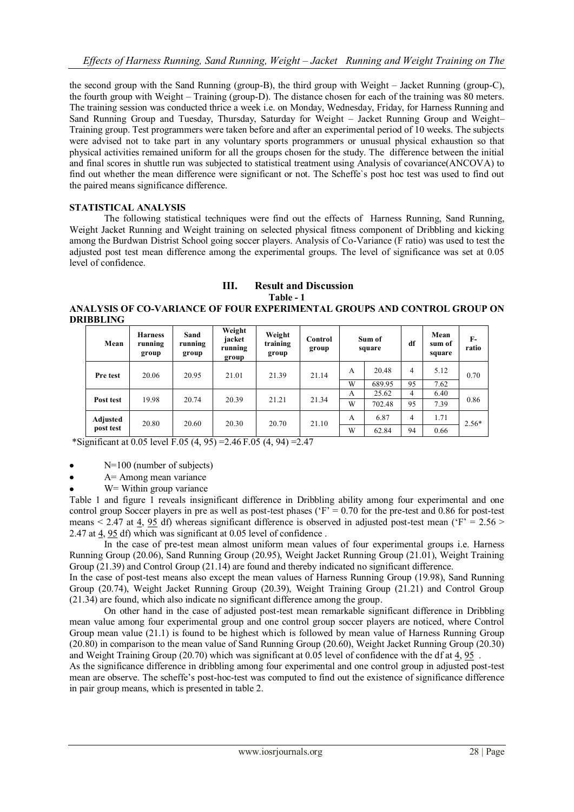the second group with the Sand Running (group-B), the third group with Weight – Jacket Running (group-C), the fourth group with Weight – Training (group-D). The distance chosen for each of the training was 80 meters. The training session was conducted thrice a week i.e. on Monday, Wednesday, Friday, for Harness Running and Sand Running Group and Tuesday, Thursday, Saturday for Weight – Jacket Running Group and Weight– Training group. Test programmers were taken before and after an experimental period of 10 weeks. The subjects were advised not to take part in any voluntary sports programmers or unusual physical exhaustion so that physical activities remained uniform for all the groups chosen for the study. The difference between the initial and final scores in shuttle run was subjected to statistical treatment using Analysis of covariance(ANCOVA) to find out whether the mean difference were significant or not. The Scheffe`s post hoc test was used to find out the paired means significance difference.

## **STATISTICAL ANALYSIS**

The following statistical techniques were find out the effects of Harness Running, Sand Running, Weight Jacket Running and Weight training on selected physical fitness component of Dribbling and kicking among the Burdwan Distrist School going soccer players. Analysis of Co-Variance (F ratio) was used to test the adjusted post test mean difference among the experimental groups. The level of significance was set at 0.05 level of confidence.

#### **III. Result and Discussion Table - 1**

**ANALYSIS OF CO-VARIANCE OF FOUR EXPERIMENTAL GROUPS AND CONTROL GROUP ON DRIBBLING**

| Mean                  | <b>Harness</b><br>running<br>group | Sand<br>running<br>group | Weight<br>jacket<br>running<br>group | Weight<br>training<br>group | Control<br>group | Sum of<br>square |        | df             | Mean<br>sum of<br>square | F-<br>ratio |
|-----------------------|------------------------------------|--------------------------|--------------------------------------|-----------------------------|------------------|------------------|--------|----------------|--------------------------|-------------|
| Pre test              | 20.06                              | 20.95                    | 21.01                                | 21.39                       | 21.14            | А                | 20.48  | 4              | 5.12                     | 0.70        |
|                       |                                    |                          |                                      |                             |                  | W                | 689.95 | 95             | 7.62                     |             |
| Post test             | 19.98                              | 20.74                    | 20.39                                | 21.21                       | 21.34            | A                | 25.62  | $\overline{4}$ | 6.40                     | 0.86        |
|                       |                                    |                          |                                      |                             |                  | W                | 702.48 | 95             | 7.39                     |             |
| Adjusted<br>post test | 20.80                              | 20.60                    | 20.30                                | 20.70                       | 21.10            | A                | 6.87   | 4              | 1.71                     | $2.56*$     |
|                       |                                    |                          |                                      |                             |                  | W                | 62.84  | 94             | 0.66                     |             |

\*Significant at 0.05 level F.05 (4, 95) = 2.46 F.05 (4, 94) = 2.47

N=100 (number of subjects)

A= Among mean variance

W = Within group variance

Table 1 and figure 1 reveals insignificant difference in Dribbling ability among four experimental and one control group Soccer players in pre as well as post-test phases ( $F = 0.70$  for the pre-test and 0.86 for post-test means  $\leq 2.47$  at 4, 95 df) whereas significant difference is observed in adjusted post-test mean ( $\overline{Y} = 2.56$ ) 2.47 at 4, 95 df) which was significant at 0.05 level of confidence .

In the case of pre-test mean almost uniform mean values of four experimental groups i.e. Harness Running Group (20.06), Sand Running Group (20.95), Weight Jacket Running Group (21.01), Weight Training Group (21.39) and Control Group (21.14) are found and thereby indicated no significant difference.

In the case of post-test means also except the mean values of Harness Running Group (19.98), Sand Running Group (20.74), Weight Jacket Running Group (20.39), Weight Training Group (21.21) and Control Group (21.34) are found, which also indicate no significant difference among the group.

On other hand in the case of adjusted post-test mean remarkable significant difference in Dribbling mean value among four experimental group and one control group soccer players are noticed, where Control Group mean value (21.1) is found to be highest which is followed by mean value of Harness Running Group (20.80) in comparison to the mean value of Sand Running Group (20.60), Weight Jacket Running Group (20.30) and Weight Training Group (20.70) which was significant at 0.05 level of confidence with the df at 4, 95 .

As the significance difference in dribbling among four experimental and one control group in adjusted post-test mean are observe. The scheffe"s post-hoc-test was computed to find out the existence of significance difference in pair group means, which is presented in table 2.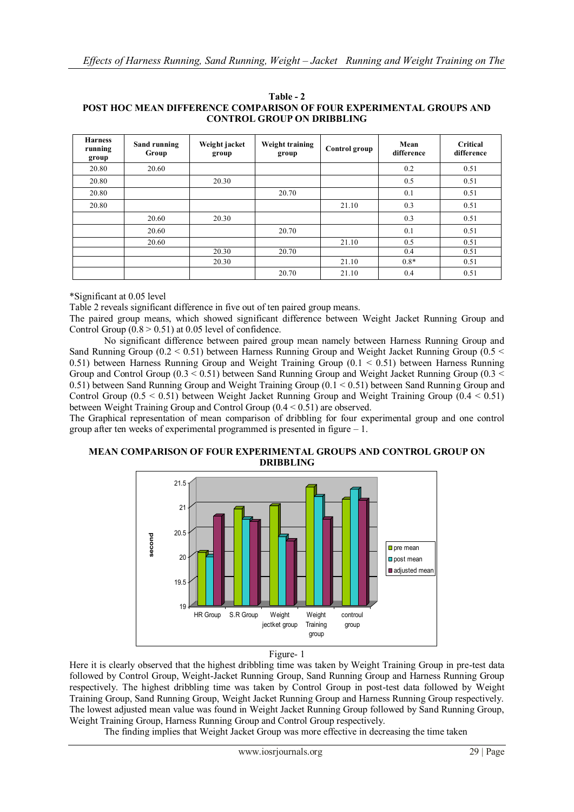| <b>Harness</b><br>running<br>group | Sand running<br>Group | Weight jacket<br>group | Weight training<br>group | Control group | Mean<br>difference | Critical<br>difference |
|------------------------------------|-----------------------|------------------------|--------------------------|---------------|--------------------|------------------------|
| 20.80                              | 20.60                 |                        |                          |               | 0.2                | 0.51                   |
| 20.80                              |                       | 20.30                  |                          |               | 0.5                | 0.51                   |
| 20.80                              |                       |                        | 20.70                    |               | 0.1                | 0.51                   |
| 20.80                              |                       |                        |                          | 21.10         | 0.3                | 0.51                   |
|                                    | 20.60                 | 20.30                  |                          |               | 0.3                | 0.51                   |
|                                    | 20.60                 |                        | 20.70                    |               | 0.1                | 0.51                   |
|                                    | 20.60                 |                        |                          | 21.10         | 0.5                | 0.51                   |
|                                    |                       | 20.30                  | 20.70                    |               | 0.4                | 0.51                   |
|                                    |                       | 20.30                  |                          | 21.10         | $0.8*$             | 0.51                   |
|                                    |                       |                        | 20.70                    | 21.10         | 0.4                | 0.51                   |

**Table - 2 POST HOC MEAN DIFFERENCE COMPARISON OF FOUR EXPERIMENTAL GROUPS AND CONTROL GROUP ON DRIBBLING**

\*Significant at 0.05 level

Table 2 reveals significant difference in five out of ten paired group means.

The paired group means, which showed significant difference between Weight Jacket Running Group and Control Group  $(0.8 > 0.51)$  at 0.05 level of confidence.

No significant difference between paired group mean namely between Harness Running Group and Sand Running Group ( $0.2 < 0.51$ ) between Harness Running Group and Weight Jacket Running Group ( $0.5 <$ 0.51) between Harness Running Group and Weight Training Group ( $0.1 < 0.51$ ) between Harness Running Group and Control Group ( $0.3 \le 0.51$ ) between Sand Running Group and Weight Jacket Running Group ( $0.3 \le$ 0.51) between Sand Running Group and Weight Training Group (0.1 < 0.51) between Sand Running Group and Control Group ( $0.5 \le 0.51$ ) between Weight Jacket Running Group and Weight Training Group ( $0.4 \le 0.51$ ) between Weight Training Group and Control Group (0.4 < 0.51) are observed.

The Graphical representation of mean comparison of dribbling for four experimental group and one control group after ten weeks of experimental programmed is presented in figure  $-1$ .

**MEAN COMPARISON OF FOUR EXPERIMENTAL GROUPS AND CONTROL GROUP ON DRIBBLING**



### Figure- 1

Here it is clearly observed that the highest dribbling time was taken by Weight Training Group in pre-test data followed by Control Group, Weight-Jacket Running Group, Sand Running Group and Harness Running Group respectively. The highest dribbling time was taken by Control Group in post-test data followed by Weight Training Group, Sand Running Group, Weight Jacket Running Group and Harness Running Group respectively. The lowest adjusted mean value was found in Weight Jacket Running Group followed by Sand Running Group, Weight Training Group, Harness Running Group and Control Group respectively.

The finding implies that Weight Jacket Group was more effective in decreasing the time taken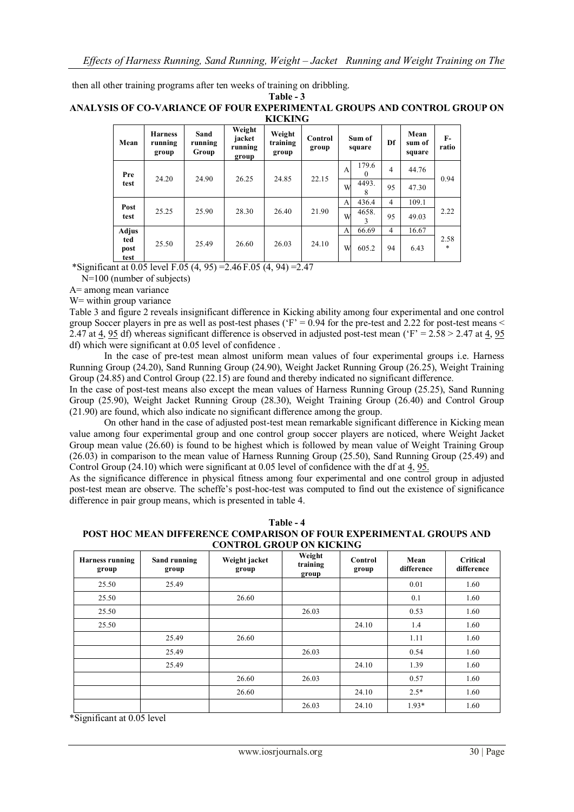then all other training programs after ten weeks of training on dribbling. **Table - 3**

### **ANALYSIS OF CO-VARIANCE OF FOUR EXPERIMENTAL GROUPS AND CONTROL GROUP ON KICKING**

| .                   |                                    |                          |                                      |                             |                  |                  |                   |                |                          |               |
|---------------------|------------------------------------|--------------------------|--------------------------------------|-----------------------------|------------------|------------------|-------------------|----------------|--------------------------|---------------|
| Mean                | <b>Harness</b><br>running<br>group | Sand<br>running<br>Group | Weight<br>jacket<br>running<br>group | Weight<br>training<br>group | Control<br>group | Sum of<br>square |                   | Df             | Mean<br>sum of<br>square | $F-$<br>ratio |
| Pre                 | 24.20                              | 24.90                    | 26.25                                | 24.85                       | 22.15            | $\mathbf{A}$     | 179.6<br>$\Omega$ | 4              | 44.76                    | 0.94          |
| test                |                                    |                          |                                      |                             |                  | W                | 4493.<br>8        | 95             | 47.30                    |               |
|                     |                                    |                          |                                      | 26.40                       | 21.90            | A                | 436.4             | $\overline{4}$ | 109.1                    | 2.22          |
| Post<br>test        | 25.25                              | 25.90                    | 28.30                                |                             |                  | W                | 4658.<br>3        | 95             | 49.03                    |               |
| <b>Adjus</b>        |                                    |                          |                                      |                             |                  | A                | 66.69             | $\overline{4}$ | 16.67                    |               |
| ted<br>post<br>test | 25.50                              | 25.49                    | 26.60                                | 26.03                       | 24.10            | W                | 605.2             | 94             | 6.43                     | 2.58<br>*     |

\*Significant at 0.05 level F.05 (4, 95) = 2.46 F.05 (4, 94) = 2.47

N=100 (number of subjects)

A= among mean variance

W= within group variance

Table 3 and figure 2 reveals insignificant difference in Kicking ability among four experimental and one control group Soccer players in pre as well as post-test phases ( $F = 0.94$  for the pre-test and 2.22 for post-test means < 2.47 at 4, 95 df) whereas significant difference is observed in adjusted post-test mean ( $F = 2.58 > 2.47$  at 4, 95) df) which were significant at 0.05 level of confidence .

In the case of pre-test mean almost uniform mean values of four experimental groups i.e. Harness Running Group (24.20), Sand Running Group (24.90), Weight Jacket Running Group (26.25), Weight Training Group (24.85) and Control Group (22.15) are found and thereby indicated no significant difference.

In the case of post-test means also except the mean values of Harness Running Group (25.25), Sand Running Group (25.90), Weight Jacket Running Group (28.30), Weight Training Group (26.40) and Control Group (21.90) are found, which also indicate no significant difference among the group.

On other hand in the case of adjusted post-test mean remarkable significant difference in Kicking mean value among four experimental group and one control group soccer players are noticed, where Weight Jacket Group mean value (26.60) is found to be highest which is followed by mean value of Weight Training Group (26.03) in comparison to the mean value of Harness Running Group (25.50), Sand Running Group (25.49) and Control Group (24.10) which were significant at 0.05 level of confidence with the df at 4, 95.

As the significance difference in physical fitness among four experimental and one control group in adjusted post-test mean are observe. The scheffe"s post-hoc-test was computed to find out the existence of significance difference in pair group means, which is presented in table 4.

| Table - 4                                                                  |  |  |  |  |  |  |  |
|----------------------------------------------------------------------------|--|--|--|--|--|--|--|
| <b>POST HOC MEAN DIFFERENCE COMPARISON OF FOUR EXPERIMENTAL GROUPS AND</b> |  |  |  |  |  |  |  |
| <b>CONTROL GROUP ON KICKING</b>                                            |  |  |  |  |  |  |  |

| <b>Harness running</b><br>group | Sand running<br>group | Weight jacket<br>group | Weight<br>training<br>group | Control<br>group | Mean<br>difference | <b>Critical</b><br>difference |
|---------------------------------|-----------------------|------------------------|-----------------------------|------------------|--------------------|-------------------------------|
| 25.50                           | 25.49                 |                        |                             |                  | 0.01               | 1.60                          |
| 25.50                           |                       | 26.60                  |                             |                  | 0.1                | 1.60                          |
| 25.50                           |                       |                        | 26.03                       |                  | 0.53               | 1.60                          |
| 25.50                           |                       |                        |                             | 24.10            | 1.4                | 1.60                          |
|                                 | 25.49                 | 26.60                  |                             |                  | 1.11               | 1.60                          |
|                                 | 25.49                 |                        | 26.03                       |                  | 0.54               | 1.60                          |
|                                 | 25.49                 |                        |                             | 24.10            | 1.39               | 1.60                          |
|                                 |                       | 26.60                  | 26.03                       |                  | 0.57               | 1.60                          |
|                                 |                       | 26.60                  |                             | 24.10            | $2.5*$             | 1.60                          |
|                                 |                       |                        | 26.03                       | 24.10            | $1.93*$            | 1.60                          |

\*Significant at 0.05 level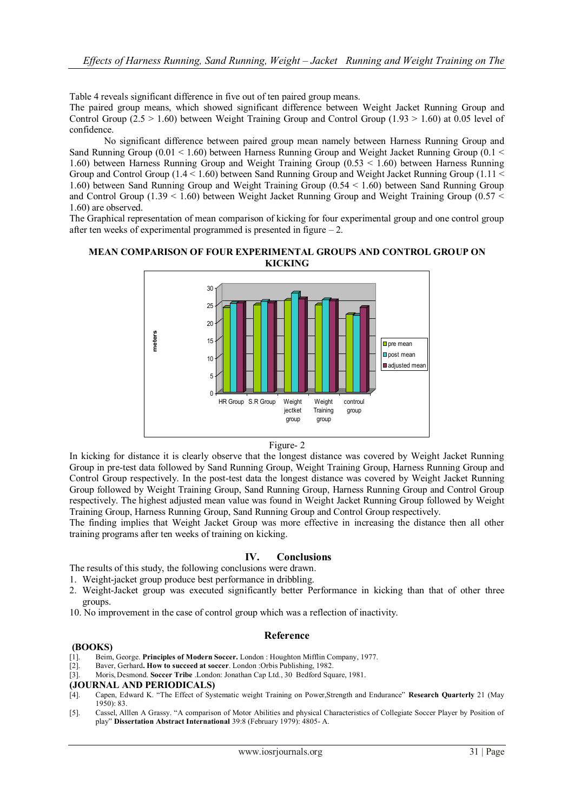Table 4 reveals significant difference in five out of ten paired group means.

The paired group means, which showed significant difference between Weight Jacket Running Group and Control Group (2.5  $> 1.60$ ) between Weight Training Group and Control Group (1.93  $> 1.60$ ) at 0.05 level of confidence.

No significant difference between paired group mean namely between Harness Running Group and Sand Running Group (0.01 < 1.60) between Harness Running Group and Weight Jacket Running Group (0.1 < 1.60) between Harness Running Group and Weight Training Group (0.53 < 1.60) between Harness Running Group and Control Group (1.4 < 1.60) between Sand Running Group and Weight Jacket Running Group (1.11 < 1.60) between Sand Running Group and Weight Training Group (0.54 < 1.60) between Sand Running Group and Control Group (1.39  $\leq$  1.60) between Weight Jacket Running Group and Weight Training Group (0.57  $\leq$ 1.60) are observed.

The Graphical representation of mean comparison of kicking for four experimental group and one control group after ten weeks of experimental programmed is presented in figure  $-2$ .

## **MEAN COMPARISON OF FOUR EXPERIMENTAL GROUPS AND CONTROL GROUP ON KICKING**



### Figure- 2

In kicking for distance it is clearly observe that the longest distance was covered by Weight Jacket Running Group in pre-test data followed by Sand Running Group, Weight Training Group, Harness Running Group and Control Group respectively. In the post-test data the longest distance was covered by Weight Jacket Running Group followed by Weight Training Group, Sand Running Group, Harness Running Group and Control Group respectively. The highest adjusted mean value was found in Weight Jacket Running Group followed by Weight Training Group, Harness Running Group, Sand Running Group and Control Group respectively.

The finding implies that Weight Jacket Group was more effective in increasing the distance then all other training programs after ten weeks of training on kicking.

# **IV. Conclusions**

The results of this study, the following conclusions were drawn.

- 1. Weight-jacket group produce best performance in dribbling.
- 2. Weight-Jacket group was executed significantly better Performance in kicking than that of other three groups.
- 10. No improvement in the case of control group which was a reflection of inactivity.

### **Reference**

#### **(BOOKS)**

- [1]. Beim, George. **Principles of Modern Soccer.** London : Houghton Mifflin Company, 1977.
- [2]. Baver, Gerhard**. How to succeed at soccer**. London :Orbis Publishing, 1982.
- [3]. Moris, Desmond. **Soccer Tribe** .London: Jonathan Cap Ltd., 30 Bedford Square, 1981.

#### **(JOURNAL AND PERIODICALS)**

- [4]. Capen, Edward K. "The Effect of Systematic weight Training on Power,Strength and Endurance" **Research Quarterly** 21 (May 1950): 83.
- [5]. Cassel, Alllen A Grassy. "A comparison of Motor Abilities and physical Characteristics of Collegiate Soccer Player by Position of play" **Dissertation Abstract International** 39:8 (February 1979): 4805- A.